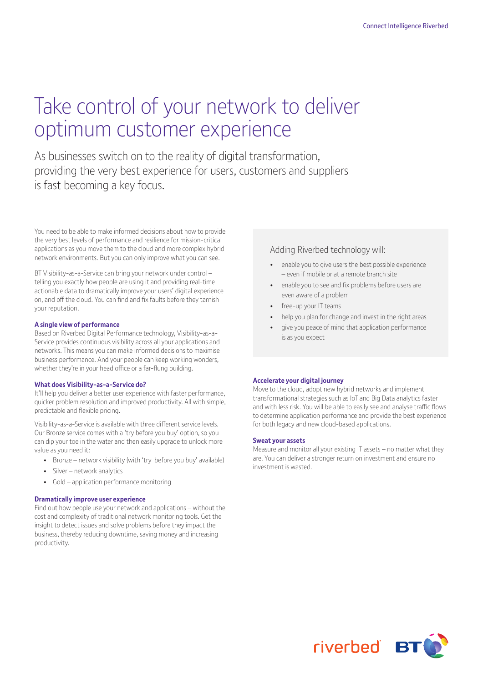# Take control of your network to deliver optimum customer experience

As businesses switch on to the reality of digital transformation, providing the very best experience for users, customers and suppliers is fast becoming a key focus.

You need to be able to make informed decisions about how to provide the very best levels of performance and resilience for mission-critical applications as you move them to the cloud and more complex hybrid network environments. But you can only improve what you can see.

BT Visibility-as-a-Service can bring your network under control – telling you exactly how people are using it and providing real-time actionable data to dramatically improve your users' digital experience on, and off the cloud. You can find and fix faults before they tarnish your reputation.

### **A single view of performance**

Based on Riverbed Digital Performance technology, Visibility-as-a-Service provides continuous visibility across all your applications and networks. This means you can make informed decisions to maximise business performance. And your people can keep working wonders, whether they're in your head office or a far-flung building.

### **What does Visibility-as-a-Service do?**

It'll help you deliver a better user experience with faster performance, quicker problem resolution and improved productivity. All with simple, predictable and flexible pricing.

Visibility-as-a-Service is available with three different service levels. Our Bronze service comes with a 'try before you buy' option, so you can dip your toe in the water and then easily upgrade to unlock more value as you need it:

- Bronze network visibility (with 'try before you buy' available)
- Silver network analytics
- Gold application performance monitoring

### **Dramatically improve user experience**

Find out how people use your network and applications – without the cost and complexity of traditional network monitoring tools. Get the insight to detect issues and solve problems before they impact the business, thereby reducing downtime, saving money and increasing productivity.

### Adding Riverbed technology will:

- enable you to give users the best possible experience – even if mobile or at a remote branch site
- enable you to see and fix problems before users are even aware of a problem
- free-up your IT teams
- help you plan for change and invest in the right areas
- give you peace of mind that application performance is as you expect

### **Accelerate your digital journey**

Move to the cloud, adopt new hybrid networks and implement transformational strategies such as IoT and Big Data analytics faster and with less risk. You will be able to easily see and analyse traffic flows to determine application performance and provide the best experience for both legacy and new cloud-based applications.

### **Sweat your assets**

Measure and monitor all your existing IT assets – no matter what they are. You can deliver a stronger return on investment and ensure no investment is wasted.